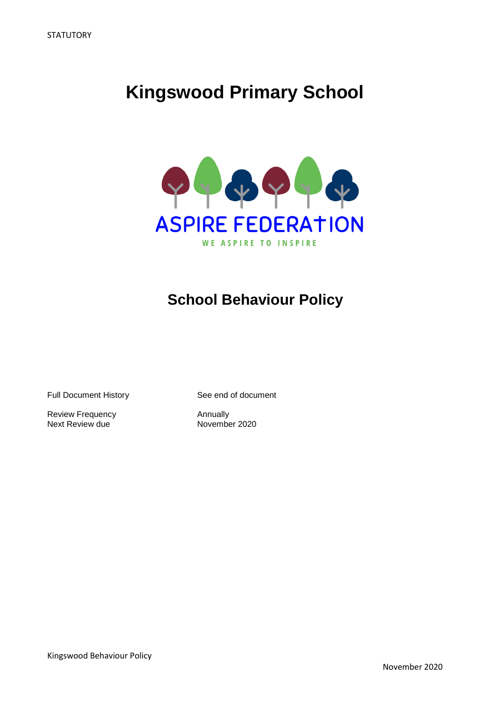# **Kingswood Primary School**



# **School Behaviour Policy**

Full Document History See end of document

Review Frequency<br>
Next Review due<br>
November 2020 Next Review due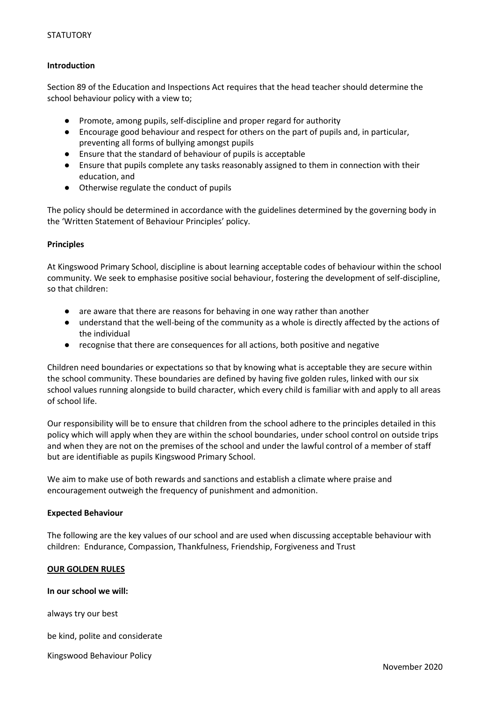# **Introduction**

Section 89 of the Education and Inspections Act requires that the head teacher should determine the school behaviour policy with a view to;

- Promote, among pupils, self-discipline and proper regard for authority
- Encourage good behaviour and respect for others on the part of pupils and, in particular, preventing all forms of bullying amongst pupils
- Ensure that the standard of behaviour of pupils is acceptable
- Ensure that pupils complete any tasks reasonably assigned to them in connection with their education, and
- Otherwise regulate the conduct of pupils

The policy should be determined in accordance with the guidelines determined by the governing body in the 'Written Statement of Behaviour Principles' policy.

#### **Principles**

At Kingswood Primary School, discipline is about learning acceptable codes of behaviour within the school community. We seek to emphasise positive social behaviour, fostering the development of self-discipline, so that children:

- are aware that there are reasons for behaving in one way rather than another
- understand that the well-being of the community as a whole is directly affected by the actions of the individual
- recognise that there are consequences for all actions, both positive and negative

Children need boundaries or expectations so that by knowing what is acceptable they are secure within the school community. These boundaries are defined by having five golden rules, linked with our six school values running alongside to build character, which every child is familiar with and apply to all areas of school life.

Our responsibility will be to ensure that children from the school adhere to the principles detailed in this policy which will apply when they are within the school boundaries, under school control on outside trips and when they are not on the premises of the school and under the lawful control of a member of staff but are identifiable as pupils Kingswood Primary School.

We aim to make use of both rewards and sanctions and establish a climate where praise and encouragement outweigh the frequency of punishment and admonition.

#### **Expected Behaviour**

The following are the key values of our school and are used when discussing acceptable behaviour with children: Endurance, Compassion, Thankfulness, Friendship, Forgiveness and Trust

# **OUR GOLDEN RULES**

#### **In our school we will:**

always try our best

be kind, polite and considerate

Kingswood Behaviour Policy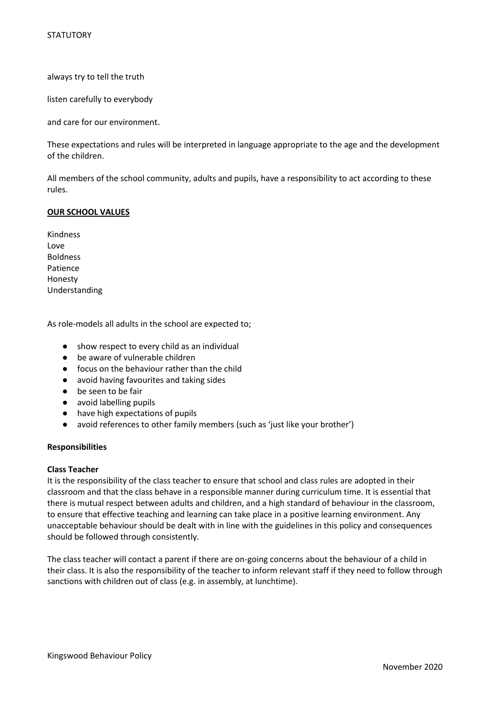always try to tell the truth

listen carefully to everybody

and care for our environment.

These expectations and rules will be interpreted in language appropriate to the age and the development of the children.

All members of the school community, adults and pupils, have a responsibility to act according to these rules.

# **OUR SCHOOL VALUES**

Kindness Love Boldness Patience Honesty Understanding

As role-models all adults in the school are expected to;

- show respect to every child as an individual
- be aware of vulnerable children
- focus on the behaviour rather than the child
- avoid having favourites and taking sides
- be seen to be fair
- avoid labelling pupils
- have high expectations of pupils
- avoid references to other family members (such as 'just like your brother')

#### **Responsibilities**

#### **Class Teacher**

It is the responsibility of the class teacher to ensure that school and class rules are adopted in their classroom and that the class behave in a responsible manner during curriculum time. It is essential that there is mutual respect between adults and children, and a high standard of behaviour in the classroom, to ensure that effective teaching and learning can take place in a positive learning environment. Any unacceptable behaviour should be dealt with in line with the guidelines in this policy and consequences should be followed through consistently.

The class teacher will contact a parent if there are on-going concerns about the behaviour of a child in their class. It is also the responsibility of the teacher to inform relevant staff if they need to follow through sanctions with children out of class (e.g. in assembly, at lunchtime).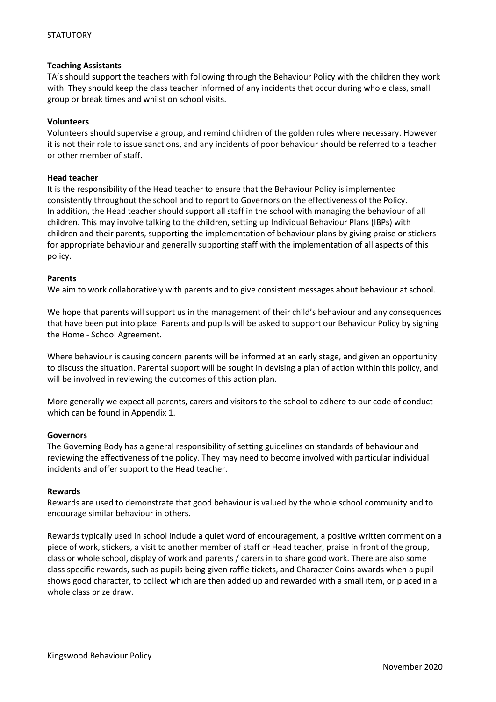# **Teaching Assistants**

TA's should support the teachers with following through the Behaviour Policy with the children they work with. They should keep the class teacher informed of any incidents that occur during whole class, small group or break times and whilst on school visits.

# **Volunteers**

Volunteers should supervise a group, and remind children of the golden rules where necessary. However it is not their role to issue sanctions, and any incidents of poor behaviour should be referred to a teacher or other member of staff.

# **Head teacher**

It is the responsibility of the Head teacher to ensure that the Behaviour Policy is implemented consistently throughout the school and to report to Governors on the effectiveness of the Policy. In addition, the Head teacher should support all staff in the school with managing the behaviour of all children. This may involve talking to the children, setting up Individual Behaviour Plans (IBPs) with children and their parents, supporting the implementation of behaviour plans by giving praise or stickers for appropriate behaviour and generally supporting staff with the implementation of all aspects of this policy.

# **Parents**

We aim to work collaboratively with parents and to give consistent messages about behaviour at school.

We hope that parents will support us in the management of their child's behaviour and any consequences that have been put into place. Parents and pupils will be asked to support our Behaviour Policy by signing the Home - School Agreement.

Where behaviour is causing concern parents will be informed at an early stage, and given an opportunity to discuss the situation. Parental support will be sought in devising a plan of action within this policy, and will be involved in reviewing the outcomes of this action plan.

More generally we expect all parents, carers and visitors to the school to adhere to our code of conduct which can be found in Appendix 1.

#### **Governors**

The Governing Body has a general responsibility of setting guidelines on standards of behaviour and reviewing the effectiveness of the policy. They may need to become involved with particular individual incidents and offer support to the Head teacher.

#### **Rewards**

Rewards are used to demonstrate that good behaviour is valued by the whole school community and to encourage similar behaviour in others.

Rewards typically used in school include a quiet word of encouragement, a positive written comment on a piece of work, stickers, a visit to another member of staff or Head teacher, praise in front of the group, class or whole school, display of work and parents / carers in to share good work. There are also some class specific rewards, such as pupils being given raffle tickets, and Character Coins awards when a pupil shows good character, to collect which are then added up and rewarded with a small item, or placed in a whole class prize draw.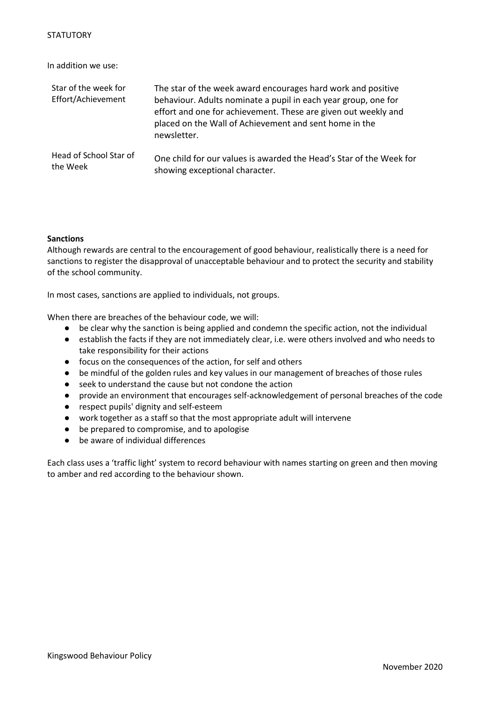In addition we use:

| Star of the week for<br>Effort/Achievement | The star of the week award encourages hard work and positive<br>behaviour. Adults nominate a pupil in each year group, one for<br>effort and one for achievement. These are given out weekly and<br>placed on the Wall of Achievement and sent home in the<br>newsletter. |
|--------------------------------------------|---------------------------------------------------------------------------------------------------------------------------------------------------------------------------------------------------------------------------------------------------------------------------|
| Head of School Star of                     | One child for our values is awarded the Head's Star of the Week for                                                                                                                                                                                                       |
| the Week                                   | showing exceptional character.                                                                                                                                                                                                                                            |

# **Sanctions**

Although rewards are central to the encouragement of good behaviour, realistically there is a need for sanctions to register the disapproval of unacceptable behaviour and to protect the security and stability of the school community.

In most cases, sanctions are applied to individuals, not groups.

When there are breaches of the behaviour code, we will:

- be clear why the sanction is being applied and condemn the specific action, not the individual
- establish the facts if they are not immediately clear, i.e. were others involved and who needs to take responsibility for their actions
- focus on the consequences of the action, for self and others
- be mindful of the golden rules and key values in our management of breaches of those rules
- seek to understand the cause but not condone the action
- provide an environment that encourages self-acknowledgement of personal breaches of the code
- respect pupils' dignity and self-esteem
- work together as a staff so that the most appropriate adult will intervene
- be prepared to compromise, and to apologise
- be aware of individual differences

Each class uses a 'traffic light' system to record behaviour with names starting on green and then moving to amber and red according to the behaviour shown.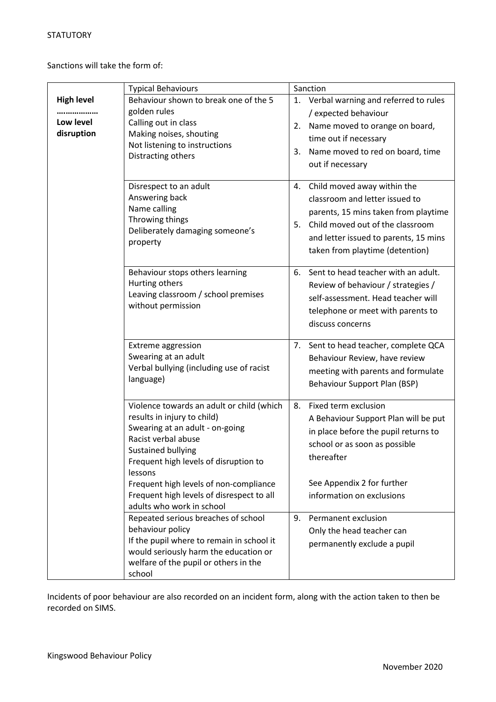Sanctions will take the form of:

|                                              | <b>Typical Behaviours</b>                                                                                                                                                                                                                                                                                                               | Sanction                                                                                                                                                                                                                          |  |
|----------------------------------------------|-----------------------------------------------------------------------------------------------------------------------------------------------------------------------------------------------------------------------------------------------------------------------------------------------------------------------------------------|-----------------------------------------------------------------------------------------------------------------------------------------------------------------------------------------------------------------------------------|--|
| <b>High level</b><br>Low level<br>disruption | Behaviour shown to break one of the 5<br>golden rules<br>Calling out in class<br>Making noises, shouting<br>Not listening to instructions<br>Distracting others                                                                                                                                                                         | 1. Verbal warning and referred to rules<br>/ expected behaviour<br>Name moved to orange on board,<br>2.<br>time out if necessary<br>Name moved to red on board, time<br>3.<br>out if necessary                                    |  |
|                                              | Disrespect to an adult<br>Answering back<br>Name calling<br>Throwing things<br>Deliberately damaging someone's<br>property                                                                                                                                                                                                              | Child moved away within the<br>4.<br>classroom and letter issued to<br>parents, 15 mins taken from playtime<br>Child moved out of the classroom<br>5.<br>and letter issued to parents, 15 mins<br>taken from playtime (detention) |  |
|                                              | Behaviour stops others learning<br>Hurting others<br>Leaving classroom / school premises<br>without permission                                                                                                                                                                                                                          | 6. Sent to head teacher with an adult.<br>Review of behaviour / strategies /<br>self-assessment. Head teacher will<br>telephone or meet with parents to<br>discuss concerns                                                       |  |
|                                              | <b>Extreme aggression</b><br>Swearing at an adult<br>Verbal bullying (including use of racist<br>language)                                                                                                                                                                                                                              | Sent to head teacher, complete QCA<br>7.<br>Behaviour Review, have review<br>meeting with parents and formulate<br>Behaviour Support Plan (BSP)                                                                                   |  |
|                                              | Violence towards an adult or child (which<br>results in injury to child)<br>Swearing at an adult - on-going<br>Racist verbal abuse<br><b>Sustained bullying</b><br>Frequent high levels of disruption to<br>lessons<br>Frequent high levels of non-compliance<br>Frequent high levels of disrespect to all<br>adults who work in school | Fixed term exclusion<br>8.<br>A Behaviour Support Plan will be put<br>in place before the pupil returns to<br>school or as soon as possible<br>thereafter<br>See Appendix 2 for further<br>information on exclusions              |  |
|                                              | Repeated serious breaches of school<br>behaviour policy<br>If the pupil where to remain in school it<br>would seriously harm the education or<br>welfare of the pupil or others in the<br>school                                                                                                                                        | 9.<br>Permanent exclusion<br>Only the head teacher can<br>permanently exclude a pupil                                                                                                                                             |  |

Incidents of poor behaviour are also recorded on an incident form, along with the action taken to then be recorded on SIMS.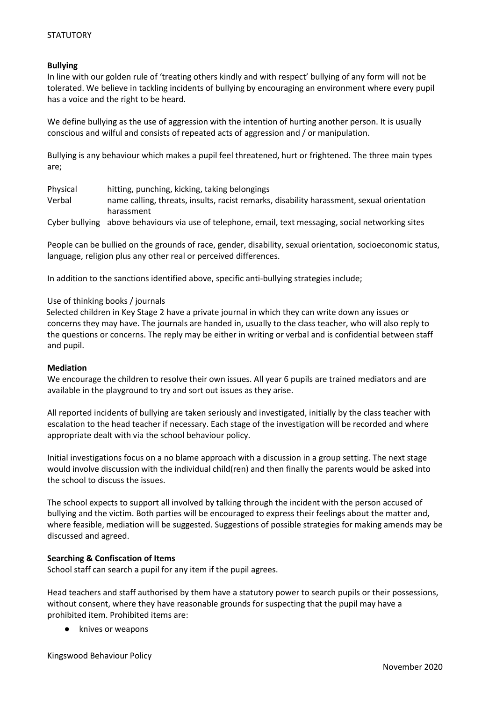# **Bullying**

In line with our golden rule of 'treating others kindly and with respect' bullying of any form will not be tolerated. We believe in tackling incidents of bullying by encouraging an environment where every pupil has a voice and the right to be heard.

We define bullying as the use of aggression with the intention of hurting another person. It is usually conscious and wilful and consists of repeated acts of aggression and / or manipulation.

Bullying is any behaviour which makes a pupil feel threatened, hurt or frightened. The three main types are;

| Physical | hitting, punching, kicking, taking belongings                                                        |
|----------|------------------------------------------------------------------------------------------------------|
| Verbal   | name calling, threats, insults, racist remarks, disability harassment, sexual orientation            |
|          | harassment                                                                                           |
|          | Cyber bullying above behaviours via use of telephone, email, text messaging, social networking sites |

People can be bullied on the grounds of race, gender, disability, sexual orientation, socioeconomic status, language, religion plus any other real or perceived differences.

In addition to the sanctions identified above, specific anti-bullying strategies include;

# Use of thinking books / journals

Selected children in Key Stage 2 have a private journal in which they can write down any issues or concerns they may have. The journals are handed in, usually to the class teacher, who will also reply to the questions or concerns. The reply may be either in writing or verbal and is confidential between staff and pupil.

#### **Mediation**

We encourage the children to resolve their own issues. All year 6 pupils are trained mediators and are available in the playground to try and sort out issues as they arise.

All reported incidents of bullying are taken seriously and investigated, initially by the class teacher with escalation to the head teacher if necessary. Each stage of the investigation will be recorded and where appropriate dealt with via the school behaviour policy.

Initial investigations focus on a no blame approach with a discussion in a group setting. The next stage would involve discussion with the individual child(ren) and then finally the parents would be asked into the school to discuss the issues.

The school expects to support all involved by talking through the incident with the person accused of bullying and the victim. Both parties will be encouraged to express their feelings about the matter and, where feasible, mediation will be suggested. Suggestions of possible strategies for making amends may be discussed and agreed.

# **Searching & Confiscation of Items**

School staff can search a pupil for any item if the pupil agrees.

Head teachers and staff authorised by them have a statutory power to search pupils or their possessions, without consent, where they have reasonable grounds for suspecting that the pupil may have a prohibited item. Prohibited items are:

knives or weapons

Kingswood Behaviour Policy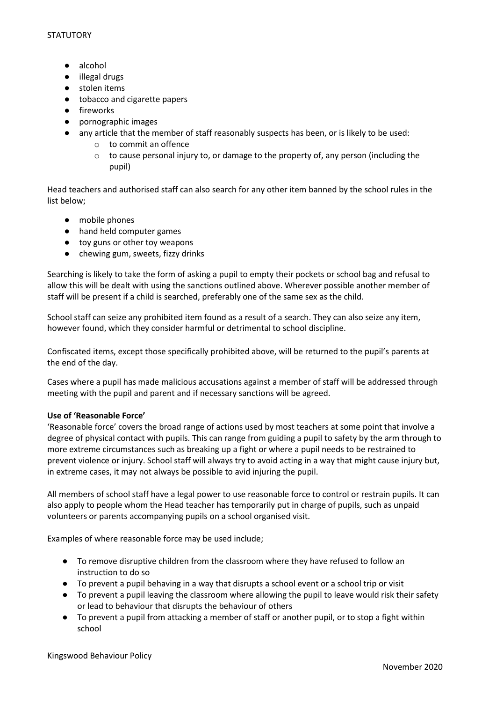- alcohol
- illegal drugs
- stolen items
- tobacco and cigarette papers
- fireworks
- pornographic images
- any article that the member of staff reasonably suspects has been, or is likely to be used:
	- o to commit an offence
	- $\circ$  to cause personal injury to, or damage to the property of, any person (including the pupil)

Head teachers and authorised staff can also search for any other item banned by the school rules in the list below;

- mobile phones
- hand held computer games
- toy guns or other toy weapons
- chewing gum, sweets, fizzy drinks

Searching is likely to take the form of asking a pupil to empty their pockets or school bag and refusal to allow this will be dealt with using the sanctions outlined above. Wherever possible another member of staff will be present if a child is searched, preferably one of the same sex as the child.

School staff can seize any prohibited item found as a result of a search. They can also seize any item, however found, which they consider harmful or detrimental to school discipline.

Confiscated items, except those specifically prohibited above, will be returned to the pupil's parents at the end of the day.

Cases where a pupil has made malicious accusations against a member of staff will be addressed through meeting with the pupil and parent and if necessary sanctions will be agreed.

# **Use of 'Reasonable Force'**

'Reasonable force' covers the broad range of actions used by most teachers at some point that involve a degree of physical contact with pupils. This can range from guiding a pupil to safety by the arm through to more extreme circumstances such as breaking up a fight or where a pupil needs to be restrained to prevent violence or injury. School staff will always try to avoid acting in a way that might cause injury but, in extreme cases, it may not always be possible to avid injuring the pupil.

All members of school staff have a legal power to use reasonable force to control or restrain pupils. It can also apply to people whom the Head teacher has temporarily put in charge of pupils, such as unpaid volunteers or parents accompanying pupils on a school organised visit.

Examples of where reasonable force may be used include;

- To remove disruptive children from the classroom where they have refused to follow an instruction to do so
- To prevent a pupil behaving in a way that disrupts a school event or a school trip or visit
- To prevent a pupil leaving the classroom where allowing the pupil to leave would risk their safety or lead to behaviour that disrupts the behaviour of others
- To prevent a pupil from attacking a member of staff or another pupil, or to stop a fight within school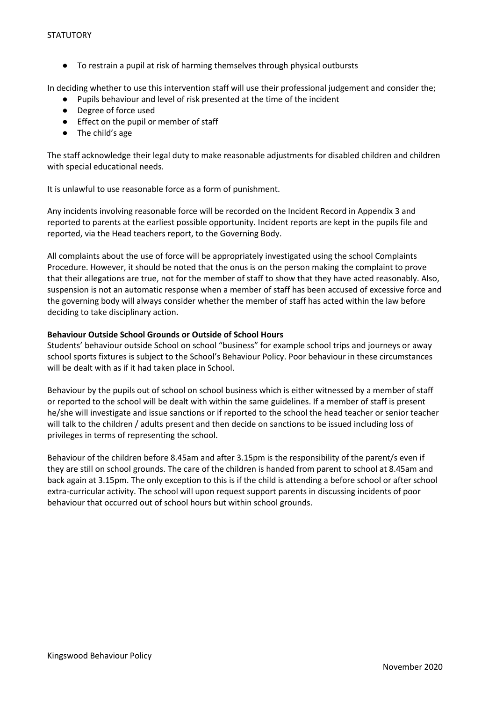● To restrain a pupil at risk of harming themselves through physical outbursts

In deciding whether to use this intervention staff will use their professional judgement and consider the;

- Pupils behaviour and level of risk presented at the time of the incident
- Degree of force used
- Effect on the pupil or member of staff
- The child's age

The staff acknowledge their legal duty to make reasonable adjustments for disabled children and children with special educational needs.

It is unlawful to use reasonable force as a form of punishment.

Any incidents involving reasonable force will be recorded on the Incident Record in Appendix 3 and reported to parents at the earliest possible opportunity. Incident reports are kept in the pupils file and reported, via the Head teachers report, to the Governing Body.

All complaints about the use of force will be appropriately investigated using the school Complaints Procedure. However, it should be noted that the onus is on the person making the complaint to prove that their allegations are true, not for the member of staff to show that they have acted reasonably. Also, suspension is not an automatic response when a member of staff has been accused of excessive force and the governing body will always consider whether the member of staff has acted within the law before deciding to take disciplinary action.

# **Behaviour Outside School Grounds or Outside of School Hours**

Students' behaviour outside School on school "business" for example school trips and journeys or away school sports fixtures is subject to the School's Behaviour Policy. Poor behaviour in these circumstances will be dealt with as if it had taken place in School.

Behaviour by the pupils out of school on school business which is either witnessed by a member of staff or reported to the school will be dealt with within the same guidelines. If a member of staff is present he/she will investigate and issue sanctions or if reported to the school the head teacher or senior teacher will talk to the children / adults present and then decide on sanctions to be issued including loss of privileges in terms of representing the school.

Behaviour of the children before 8.45am and after 3.15pm is the responsibility of the parent/s even if they are still on school grounds. The care of the children is handed from parent to school at 8.45am and back again at 3.15pm. The only exception to this is if the child is attending a before school or after school extra-curricular activity. The school will upon request support parents in discussing incidents of poor behaviour that occurred out of school hours but within school grounds.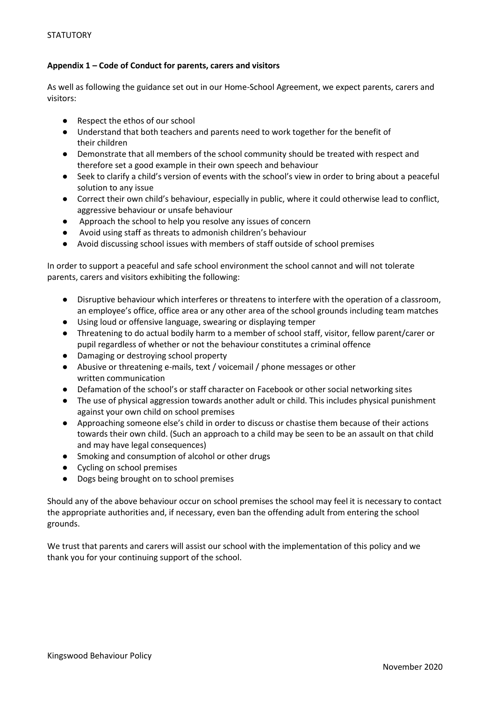# **Appendix 1 – Code of Conduct for parents, carers and visitors**

As well as following the guidance set out in our Home-School Agreement, we expect parents, carers and visitors:

- Respect the ethos of our school
- Understand that both teachers and parents need to work together for the benefit of their children
- Demonstrate that all members of the school community should be treated with respect and therefore set a good example in their own speech and behaviour
- Seek to clarify a child's version of events with the school's view in order to bring about a peaceful solution to any issue
- Correct their own child's behaviour, especially in public, where it could otherwise lead to conflict, aggressive behaviour or unsafe behaviour
- Approach the school to help you resolve any issues of concern
- Avoid using staff as threats to admonish children's behaviour
- Avoid discussing school issues with members of staff outside of school premises

In order to support a peaceful and safe school environment the school cannot and will not tolerate parents, carers and visitors exhibiting the following:

- Disruptive behaviour which interferes or threatens to interfere with the operation of a classroom, an employee's office, office area or any other area of the school grounds including team matches
- Using loud or offensive language, swearing or displaying temper
- Threatening to do actual bodily harm to a member of school staff, visitor, fellow parent/carer or pupil regardless of whether or not the behaviour constitutes a criminal offence
- Damaging or destroying school property
- Abusive or threatening e-mails, text / voicemail / phone messages or other written communication
- Defamation of the school's or staff character on Facebook or other social networking sites
- The use of physical aggression towards another adult or child. This includes physical punishment against your own child on school premises
- Approaching someone else's child in order to discuss or chastise them because of their actions towards their own child. (Such an approach to a child may be seen to be an assault on that child and may have legal consequences)
- Smoking and consumption of alcohol or other drugs
- Cycling on school premises
- Dogs being brought on to school premises

Should any of the above behaviour occur on school premises the school may feel it is necessary to contact the appropriate authorities and, if necessary, even ban the offending adult from entering the school grounds.

We trust that parents and carers will assist our school with the implementation of this policy and we thank you for your continuing support of the school.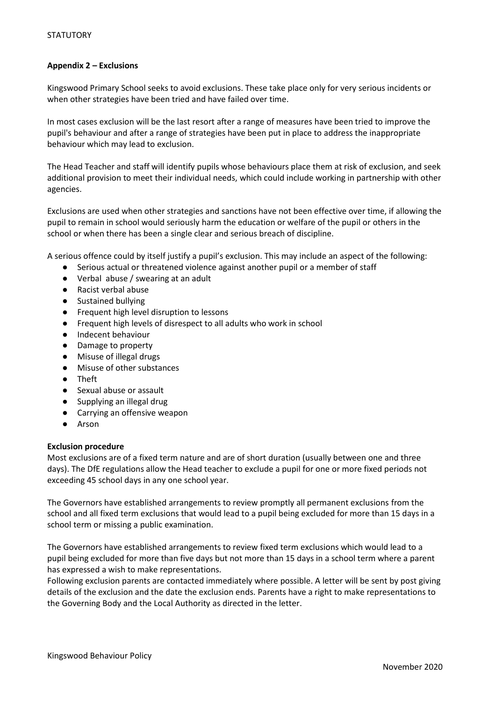# **Appendix 2 – Exclusions**

Kingswood Primary School seeks to avoid exclusions. These take place only for very serious incidents or when other strategies have been tried and have failed over time.

In most cases exclusion will be the last resort after a range of measures have been tried to improve the pupil's behaviour and after a range of strategies have been put in place to address the inappropriate behaviour which may lead to exclusion.

The Head Teacher and staff will identify pupils whose behaviours place them at risk of exclusion, and seek additional provision to meet their individual needs, which could include working in partnership with other agencies.

Exclusions are used when other strategies and sanctions have not been effective over time, if allowing the pupil to remain in school would seriously harm the education or welfare of the pupil or others in the school or when there has been a single clear and serious breach of discipline.

A serious offence could by itself justify a pupil's exclusion. This may include an aspect of the following:

- Serious actual or threatened violence against another pupil or a member of staff
- Verbal abuse / swearing at an adult
- Racist verbal abuse
- Sustained bullying
- Frequent high level disruption to lessons
- Frequent high levels of disrespect to all adults who work in school
- Indecent behaviour
- Damage to property
- Misuse of illegal drugs
- Misuse of other substances
- Theft
- Sexual abuse or assault
- Supplying an illegal drug
- Carrying an offensive weapon
- Arson

#### **Exclusion procedure**

Most exclusions are of a fixed term nature and are of short duration (usually between one and three days). The DfE regulations allow the Head teacher to exclude a pupil for one or more fixed periods not exceeding 45 school days in any one school year.

The Governors have established arrangements to review promptly all permanent exclusions from the school and all fixed term exclusions that would lead to a pupil being excluded for more than 15 days in a school term or missing a public examination.

The Governors have established arrangements to review fixed term exclusions which would lead to a pupil being excluded for more than five days but not more than 15 days in a school term where a parent has expressed a wish to make representations.

Following exclusion parents are contacted immediately where possible. A letter will be sent by post giving details of the exclusion and the date the exclusion ends. Parents have a right to make representations to the Governing Body and the Local Authority as directed in the letter.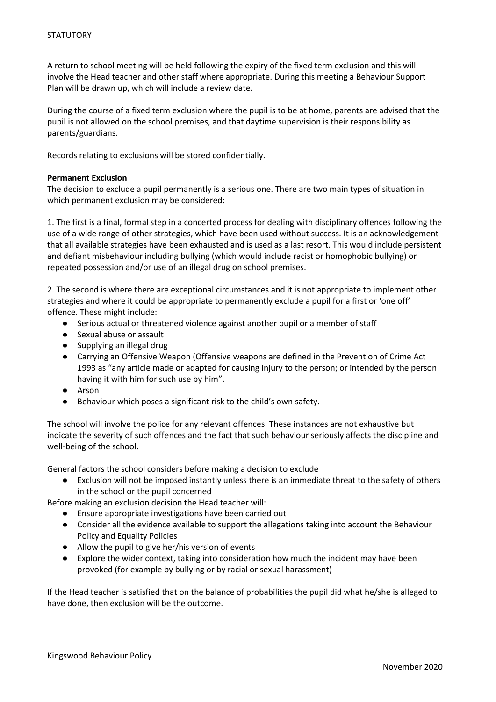A return to school meeting will be held following the expiry of the fixed term exclusion and this will involve the Head teacher and other staff where appropriate. During this meeting a Behaviour Support Plan will be drawn up, which will include a review date.

During the course of a fixed term exclusion where the pupil is to be at home, parents are advised that the pupil is not allowed on the school premises, and that daytime supervision is their responsibility as parents/guardians.

Records relating to exclusions will be stored confidentially.

# **Permanent Exclusion**

The decision to exclude a pupil permanently is a serious one. There are two main types of situation in which permanent exclusion may be considered:

1. The first is a final, formal step in a concerted process for dealing with disciplinary offences following the use of a wide range of other strategies, which have been used without success. It is an acknowledgement that all available strategies have been exhausted and is used as a last resort. This would include persistent and defiant misbehaviour including bullying (which would include racist or homophobic bullying) or repeated possession and/or use of an illegal drug on school premises.

2. The second is where there are exceptional circumstances and it is not appropriate to implement other strategies and where it could be appropriate to permanently exclude a pupil for a first or 'one off' offence. These might include:

- Serious actual or threatened violence against another pupil or a member of staff
- Sexual abuse or assault
- Supplying an illegal drug
- Carrying an Offensive Weapon (Offensive weapons are defined in the Prevention of Crime Act 1993 as "any article made or adapted for causing injury to the person; or intended by the person having it with him for such use by him".
- Arson
- Behaviour which poses a significant risk to the child's own safety.

The school will involve the police for any relevant offences. These instances are not exhaustive but indicate the severity of such offences and the fact that such behaviour seriously affects the discipline and well-being of the school.

General factors the school considers before making a decision to exclude

● Exclusion will not be imposed instantly unless there is an immediate threat to the safety of others in the school or the pupil concerned

Before making an exclusion decision the Head teacher will:

- Ensure appropriate investigations have been carried out
- Consider all the evidence available to support the allegations taking into account the Behaviour Policy and Equality Policies
- Allow the pupil to give her/his version of events
- Explore the wider context, taking into consideration how much the incident may have been provoked (for example by bullying or by racial or sexual harassment)

If the Head teacher is satisfied that on the balance of probabilities the pupil did what he/she is alleged to have done, then exclusion will be the outcome.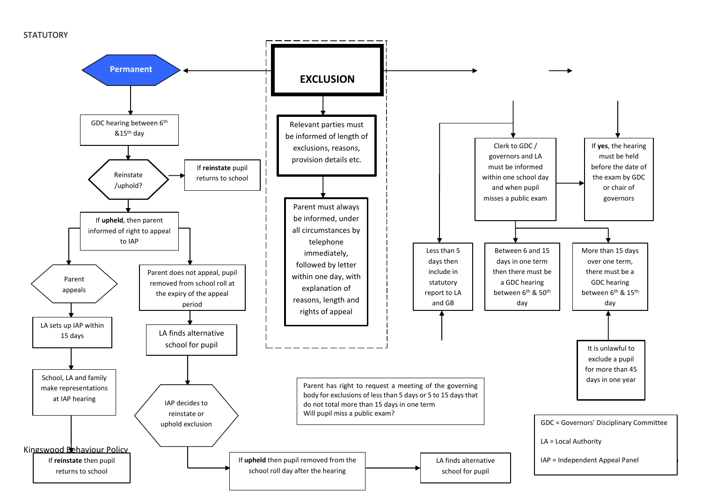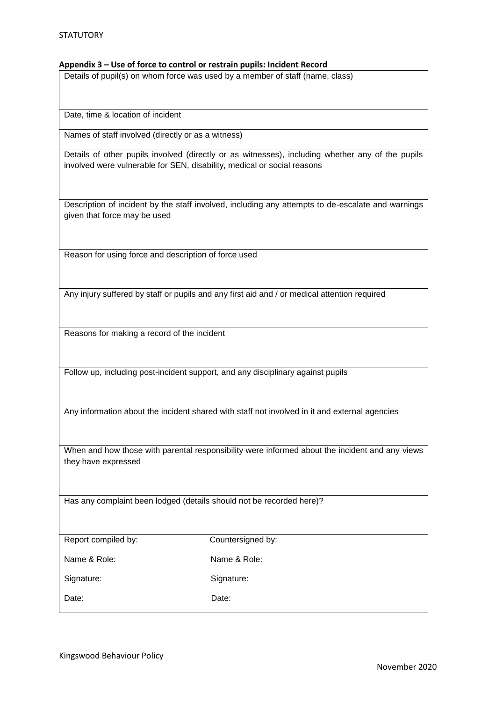#### **Appendix 3 – Use of force to control or restrain pupils: Incident Record**

Details of pupil(s) on whom force was used by a member of staff (name, class)

Date, time & location of incident

Names of staff involved (directly or as a witness)

Details of other pupils involved (directly or as witnesses), including whether any of the pupils involved were vulnerable for SEN, disability, medical or social reasons

Description of incident by the staff involved, including any attempts to de-escalate and warnings given that force may be used

Reason for using force and description of force used

Any injury suffered by staff or pupils and any first aid and / or medical attention required

Reasons for making a record of the incident

Follow up, including post-incident support, and any disciplinary against pupils

Any information about the incident shared with staff not involved in it and external agencies

When and how those with parental responsibility were informed about the incident and any views they have expressed

Has any complaint been lodged (details should not be recorded here)?

| Report compiled by: |  |  |
|---------------------|--|--|
|                     |  |  |

Countersigned by:

Name & Role: Name & Role:

Signature: Signature: Signature:

Date: **Date:** Date: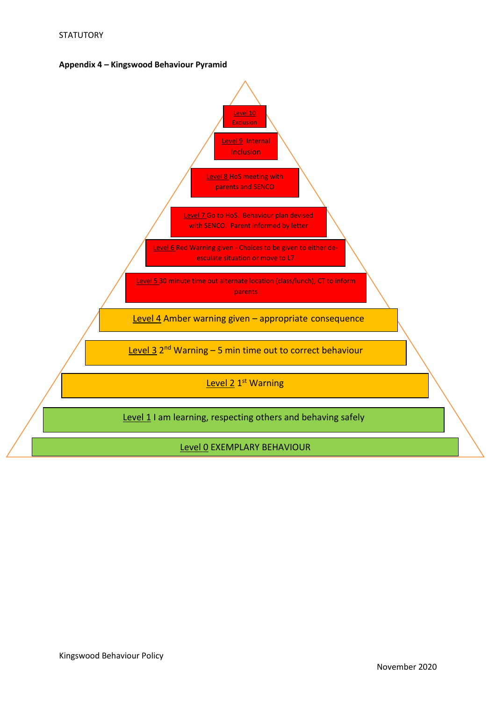

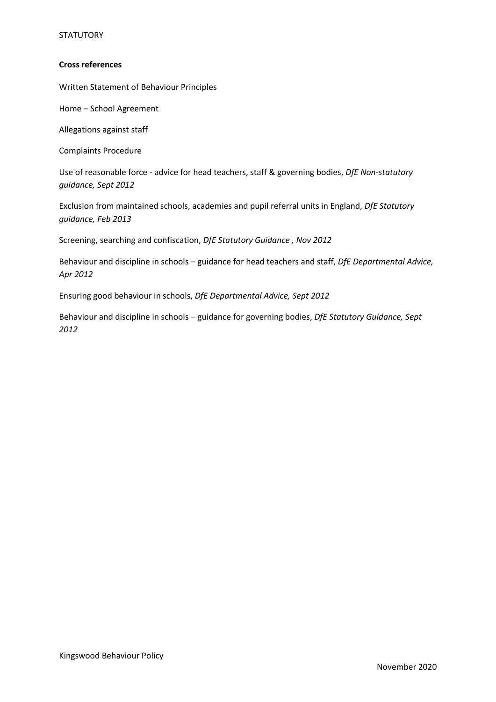# **STATUTORY**

# **Cross references**

Written Statement of Behaviour Principles

Home – School Agreement

Allegations against staff

Complaints Procedure

Use of reasonable force - advice for head teachers, staff & governing bodies, *DfE Non-statutory guidance, Sept 2012*

Exclusion from maintained schools, academies and pupil referral units in England, *DfE Statutory guidance, Feb 2013*

Screening, searching and confiscation, *DfE Statutory Guidance , Nov 2012*

Behaviour and discipline in schools – guidance for head teachers and staff, *DfE Departmental Advice, Apr 2012* 

Ensuring good behaviour in schools, *DfE Departmental Advice, Sept 2012*

Behaviour and discipline in schools – guidance for governing bodies, *DfE Statutory Guidance, Sept 2012*